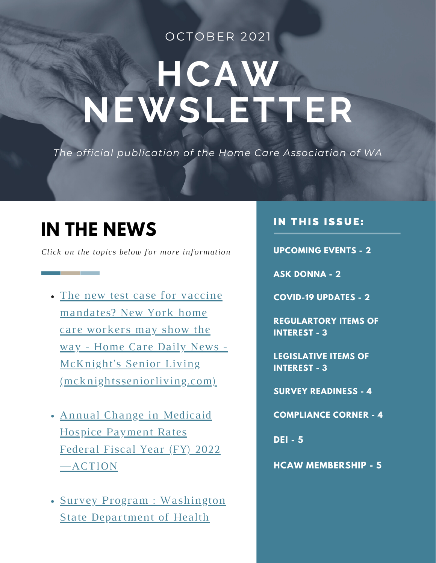#### OCTOBER 2021

# **HCAW NEWSLETTER**

*The official publication of the Home Care Association of WA*

### **IN THE NEWS**

and the company of the company

*Click on the topics below for more information*

The new test case for vaccine mandates? New York home care workers may show the way - Home Care Daily News - McKnight's Senior Living [\(mcknightsseniorliving.com\)](https://www.mcknightsseniorliving.com/home/news/home-care-daily-news/the-new-test-case-for-vaccine-mandates-new-york-home-care-workers-may-show-the-way/?mpweb=1326-21774-143119)

- Annual Change in Medicaid Hospice Payment Rates Federal Fiscal Year (FY) 2022 [—ACTION](https://homehealthcarenews.com/2021/08/we-are-losing-excellent-direct-care-staff-home-based-care-providers-report-vaccine-mandate-blowback/?euid=e8e709ab60&utm_source=hhcn-newsletter&utm_medium=email&utm_campaign=fc97ee41b6)
- Survey Program : Washington State [Department](https://www.simione.com/resources/news-advisories/home-health-proposed-rule-8-things-know) of Health

#### IN THIS ISSUE:

**UPCOMING EVENTS - 2**

**ASK DONNA - 2**

**COVID-19 UPDATES - 2**

**REGULARTORY ITEMS OF INTEREST - 3**

**LEGISLATIVE ITEMS OF INTEREST - 3**

**SURVEY READINESS - 4**

**COMPLIANCE CORNER - 4**

**DEI - 5**

**HCAW MEMBERSHIP - 5**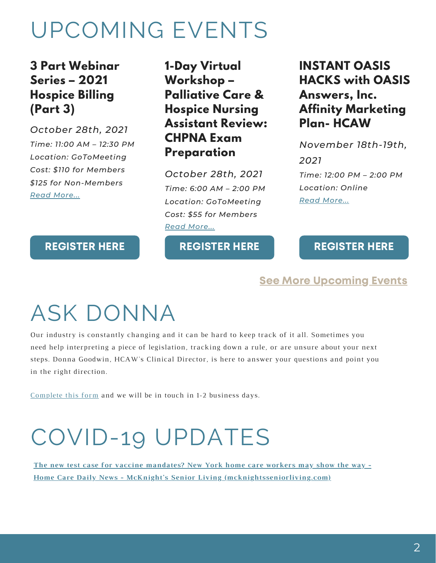# UPCOMING EVENTS

### **3 Part Webinar Series – 2021 Hospice Billing (Part 3)**

*October 28th, 2021 Time: 11:00 AM – 12:30 PM Location: GoToMeeting Cost: \$110 for Members \$125 for Non-Members Read [More...](https://hcaw.org/events/3-part-webinar-series-2021-hospice-billing-746-214/)*

**1-Day Virtual Workshop – Palliative Care & Hospice Nursing Assistant Review: CHPNA Exam Preparation**

*October 28th, 2021 Time: 6:00 AM – 2:00 PM Location: GoToMeeting Cost: \$55 for Members Read [More...](https://hcaw.org/events/1-day-virtual-workshop-palliative-care-hospice-nursing-assistant-review-chpna-exam-preparation-3/)*

#### [REGISTER](https://hcaw.org/events/3-part-webinar-series-2021-hospice-billing-746-214/) HERE

#### [REGISTER](https://events.r20.constantcontact.com/register/eventReg?oeidk=a07ehm05lued816c787&oseq=&c=&ch=) HERE

### **INSTANT OASIS HACKS with OASIS Answers, Inc. Affinity Marketing Plan- HCAW**

*November 18th-19th, 2021 Time: 12:00 PM – 2:00 PM Location: Online Read [More...](https://hcaw.org/events/instant-oasis-hacks-with-oasis-answers-inc-affinity-marketing-plan-hcaw/)*

#### [REGISTER](https://oasisanswers.com/content/hcaw) HERE

#### See More [Upcoming](https://hcaw.org/events-calendar/) Events

# ASK DONNA

Our industry is constantly changing and it can be hard to keep track of it all. Sometimes you need help interpreting a piece of legislation, tracking down a rule, or are unsure about your next steps. Donna Goodwin, HCAW's Clinical Director, is here to answer your questions and point you in the right direction.

[Complete](https://hcaw.org/contact-donna/) this form and we will be in touch in 1-2 business days.

# COVID-19 UPDATES

**The new test case for vaccine mandates? New York home care workers may show the way - Home Care Daily News - McKnight's Senior Living [\(mcknightsseniorliving.com\)](https://www.mcknightsseniorliving.com/home/news/home-care-daily-news/the-new-test-case-for-vaccine-mandates-new-york-home-care-workers-may-show-the-way/?mpweb=1326-21774-143119)**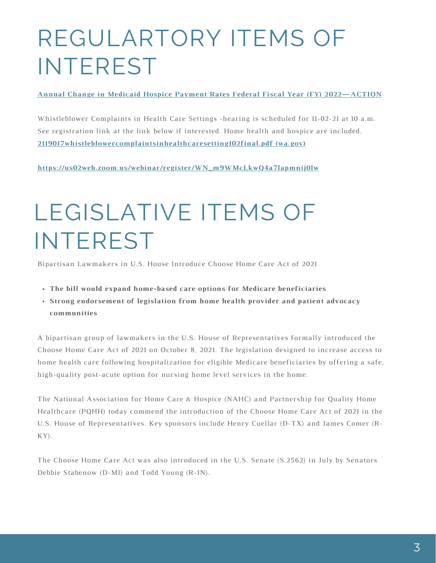# REGULARTORY ITEMS OF INTEREST

#### **Annual Change in Medicaid Hospice Payment Rates Federal Fiscal Year (FY) [2022—ACTION](https://www.medicaid.gov/medicaid/benefits/downloads/medicaid_hospice_rate_letter_fy_2022_final.pdf)**

[Whistleblower](https://ncsbn.us2.list-manage.com/track/click?u=a6c6f7da1b05b0e47f0cb6193&id=b3a2efda52&e=83f73f2959) Complaints in Health Care Settings -hearing is scheduled for 11-02-21 at 10 a.m. See registration link at the link below if interested. Home health and hospice are included. **[2119017whistleblowercomplaintsinhealthcaresetting102final.pdf](https://fortress.wa.gov/doh/policyreview/Documents/2119017whistleblowercomplaintsinhealthcaresetting102final.pdf) (wa.gov)**

**[https://us02web.zoom.us/webinar/register/WN\\_m9WMcLkwQ4a7lapmnij0lw](https://us02web.zoom.us/webinar/register/WN_m9WMcLkwQ4a7lapmnij0lw)**

# LEGISLATIVE ITEMS OF INTEREST

Bipartisan [Lawmakers](https://ncsbn.us2.list-manage.com/track/click?u=a6c6f7da1b05b0e47f0cb6193&id=b3a2efda52&e=83f73f2959) in U.S. House Introduce Choose Home Care Act of 2021

- **The bill would expand home-based care options for Medicare [beneficiaries](https://ncsbn.us2.list-manage.com/track/click?u=a6c6f7da1b05b0e47f0cb6193&id=b3a2efda52&e=83f73f2959)**
- **Strong endorsement of legislation from home health provider and patient advocacy [communities](https://ncsbn.us2.list-manage.com/track/click?u=a6c6f7da1b05b0e47f0cb6193&id=b3a2efda52&e=83f73f2959)**

A bipartisan group of lawmakers in the U.S. House of Representatives formally introduced the Choose Home Care Act of 2021 on October 8, 2021. The legislation designed to increase access to home health care following [hospitalization](https://ncsbn.us2.list-manage.com/track/click?u=a6c6f7da1b05b0e47f0cb6193&id=b3a2efda52&e=83f73f2959) for eligible Medicare beneficiaries by offering a safe, high-quality post-acute option for nursing home level services in the home.

The National Association for Home Care & Hospice (NAHC) and Partnership for Quality Home Healthcare (PQHH) today commend the introduction of the Choose Home Care Act of 2021 in the U.S. House of [Representatives.](https://ncsbn.us2.list-manage.com/track/click?u=a6c6f7da1b05b0e47f0cb6193&id=b3a2efda52&e=83f73f2959) Key sponsors include Henry Cuellar (D-TX) and James Comer (R-KY).

The Choose Home Care Act was also [introduced](https://ncsbn.us2.list-manage.com/track/click?u=a6c6f7da1b05b0e47f0cb6193&id=b3a2efda52&e=83f73f2959) in the U.S. Senate (S.2562) in July by Senators Debbie Stabenow (D-MI) and Todd Young (R-IN).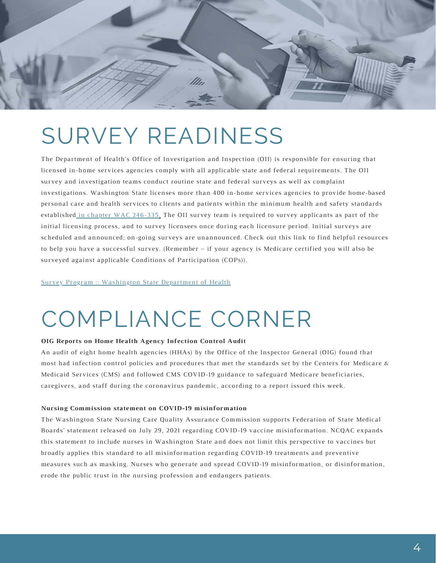

## SURVEY READINESS

The Department of Health's Office of Investigation and Inspection (OII) is responsible for ensuring that licensed in-home services agencies comply with all applicable state and federal requirements. The OII survey and investigation teams conduct routine state and federal surveys as well as complaint [investigations.](https://ncsbn.us2.list-manage.com/track/click?u=a6c6f7da1b05b0e47f0cb6193&id=b3a2efda52&e=83f73f2959) Washington State licenses more than 400 in-home services agencies to provide home-based personal care and health services to clients and patients within the minimum health and safety standards established in chapter WAC [246-335.](https://app.leg.wa.gov/WAC/default.aspx?cite=246-335) The OII survey team is required to survey applicants as part of the initial licensing process, and to survey licensees once during each licensure period. Initial surveys are scheduled and announced; on-going surveys are [unannounced.](https://ncsbn.us2.list-manage.com/track/click?u=a6c6f7da1b05b0e47f0cb6193&id=b3a2efda52&e=83f73f2959) Check out this link to find helpful resources to help you have a successful survey. (Remember – if your agency is Medicare certified you will also be surveyed against applicable Conditions of Participation (COPs)).

#### Survey Program :: [Washington](https://www.doh.wa.gov/LicensesPermitsandCertificates/FacilitiesNewReneworUpdate/HomeHealthAgencies/SurveyProgram#:~:text=Washington%20State%20licenses%20more%20than%20400%20in-home%20services,and%20safety%20standards%20established%20in%20chapter%20WAC%20246-335.) State Department of Health

## COMPLIANCE CORNER

#### **OIG Reports on Home Health Agency Infection Control Audit**

An audit of eight home health agencies (HHAs) by the Office of the Inspector General (OIG) found that most had infection control policies and procedures that met the standards set by the Centers for Medicare & Medicaid Services (CMS) and followed CMS COVID-19 guidance to safeguard Medicare [beneficiaries,](https://ncsbn.us2.list-manage.com/track/click?u=a6c6f7da1b05b0e47f0cb6193&id=b3a2efda52&e=83f73f2959) caregivers, and staff during the coronavirus pandemic, according to a report issued this week.

#### **Nursing Commission statement on COVID-19 misinformation**

The Washington State Nursing Care Quality Assurance Commission supports Federation of State Medical Boards' statement released on July 29, 2021 regarding COVID-19 vaccine [misinformation.](https://ncsbn.us2.list-manage.com/track/click?u=a6c6f7da1b05b0e47f0cb6193&id=b3a2efda52&e=83f73f2959) NCQAC expands this statement to include nurses in Washington State and does not limit this perspective to vaccines but broadly applies this standard to all misinformation regarding COVID-19 treatments and preventive measures such as masking. Nurses who generate and spread COVID-19 [misinformation,](https://ncsbn.us2.list-manage.com/track/click?u=a6c6f7da1b05b0e47f0cb6193&id=b3a2efda52&e=83f73f2959) or disinformation, erode the public trust in the nursing profession and endangers patients.